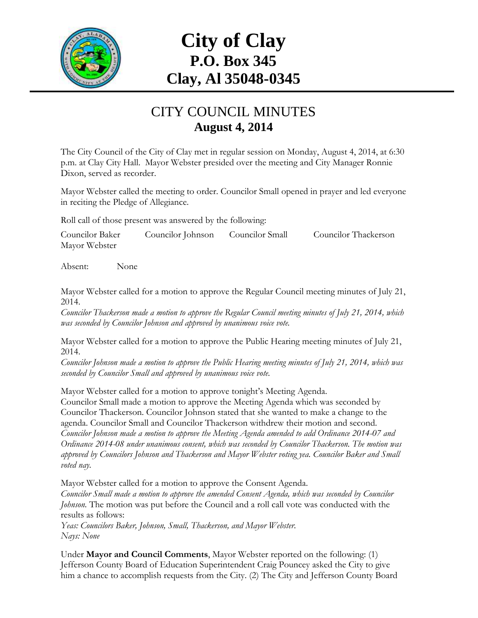

# **City of Clay P.O. Box 345 Clay, Al 35048-0345**

#### CITY COUNCIL MINUTES **August 4, 2014**

The City Council of the City of Clay met in regular session on Monday, August 4, 2014, at 6:30 p.m. at Clay City Hall. Mayor Webster presided over the meeting and City Manager Ronnie Dixon, served as recorder.

Mayor Webster called the meeting to order. Councilor Small opened in prayer and led everyone in reciting the Pledge of Allegiance.

Roll call of those present was answered by the following:

Councilor Baker Councilor Johnson Councilor Small Councilor Thackerson Mayor Webster

Absent: None

Mayor Webster called for a motion to approve the Regular Council meeting minutes of July 21, 2014.

*Councilor Thackerson made a motion to approve the Regular Council meeting minutes of July 21, 2014, which was seconded by Councilor Johnson and approved by unanimous voice vote.*

Mayor Webster called for a motion to approve the Public Hearing meeting minutes of July 21, 2014.

*Councilor Johnson made a motion to approve the Public Hearing meeting minutes of July 21, 2014, which was seconded by Councilor Small and approved by unanimous voice vote.*

Mayor Webster called for a motion to approve tonight's Meeting Agenda.

Councilor Small made a motion to approve the Meeting Agenda which was seconded by Councilor Thackerson. Councilor Johnson stated that she wanted to make a change to the agenda. Councilor Small and Councilor Thackerson withdrew their motion and second. *Councilor Johnson made a motion to approve the Meeting Agenda amended to add Ordinance 2014-07 and Ordinance 2014-08 under unanimous consent, which was seconded by Councilor Thackerson. The motion was approved by Councilors Johnson and Thackerson and Mayor Webster voting yea. Councilor Baker and Small voted nay.*

Mayor Webster called for a motion to approve the Consent Agenda.

*Councilor Small made a motion to approve the amended Consent Agenda, which was seconded by Councilor Johnson.* The motion was put before the Council and a roll call vote was conducted with the results as follows:

*Yeas: Councilors Baker, Johnson, Small, Thackerson, and Mayor Webster. Nays: None*

Under **Mayor and Council Comments**, Mayor Webster reported on the following: (1) Jefferson County Board of Education Superintendent Craig Pouncey asked the City to give him a chance to accomplish requests from the City. (2) The City and Jefferson County Board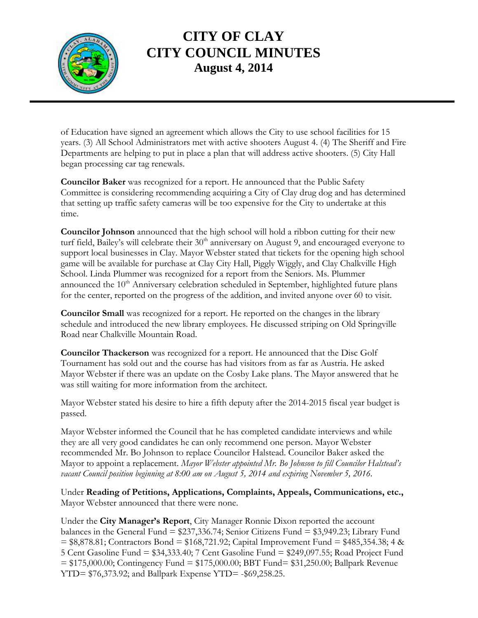

## **CITY OF CLAY CITY COUNCIL MINUTES August 4, 2014**

of Education have signed an agreement which allows the City to use school facilities for 15 years. (3) All School Administrators met with active shooters August 4. (4) The Sheriff and Fire Departments are helping to put in place a plan that will address active shooters. (5) City Hall began processing car tag renewals.

**Councilor Baker** was recognized for a report. He announced that the Public Safety Committee is considering recommending acquiring a City of Clay drug dog and has determined that setting up traffic safety cameras will be too expensive for the City to undertake at this time.

**Councilor Johnson** announced that the high school will hold a ribbon cutting for their new turf field, Bailey's will celebrate their 30<sup>th</sup> anniversary on August 9, and encouraged everyone to support local businesses in Clay. Mayor Webster stated that tickets for the opening high school game will be available for purchase at Clay City Hall, Piggly Wiggly, and Clay Chalkville High School. Linda Plummer was recognized for a report from the Seniors. Ms. Plummer announced the 10<sup>th</sup> Anniversary celebration scheduled in September, highlighted future plans for the center, reported on the progress of the addition, and invited anyone over 60 to visit.

**Councilor Small** was recognized for a report. He reported on the changes in the library schedule and introduced the new library employees. He discussed striping on Old Springville Road near Chalkville Mountain Road.

**Councilor Thackerson** was recognized for a report. He announced that the Disc Golf Tournament has sold out and the course has had visitors from as far as Austria. He asked Mayor Webster if there was an update on the Cosby Lake plans. The Mayor answered that he was still waiting for more information from the architect.

Mayor Webster stated his desire to hire a fifth deputy after the 2014-2015 fiscal year budget is passed.

Mayor Webster informed the Council that he has completed candidate interviews and while they are all very good candidates he can only recommend one person. Mayor Webster recommended Mr. Bo Johnson to replace Councilor Halstead. Councilor Baker asked the Mayor to appoint a replacement. *Mayor Webster appointed Mr. Bo Johnson to fill Councilor Halstead's vacant Council position beginning at 8:00 am on August 5, 2014 and expiring November 5, 2016.*

Under **Reading of Petitions, Applications, Complaints, Appeals, Communications, etc.,** Mayor Webster announced that there were none.

Under the **City Manager's Report**, City Manager Ronnie Dixon reported the account balances in the General Fund = \$237,336.74; Senior Citizens Fund = \$3,949.23; Library Fund  $= $8,878.81$ ; Contractors Bond  $= $168,721.92$ ; Capital Improvement Fund  $= $485,354.38$ ; 4 & 5 Cent Gasoline Fund = \$34,333.40; 7 Cent Gasoline Fund = \$249,097.55; Road Project Fund = \$175,000.00; Contingency Fund = \$175,000.00; BBT Fund= \$31,250.00; Ballpark Revenue YTD= \$76,373.92; and Ballpark Expense YTD= -\$69,258.25.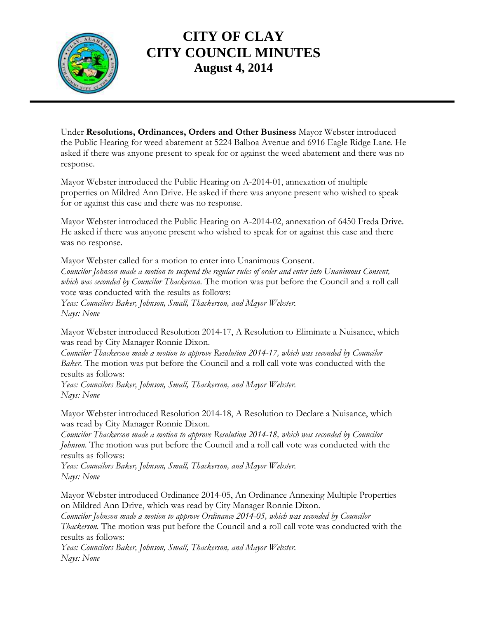

## **CITY OF CLAY CITY COUNCIL MINUTES August 4, 2014**

Under **Resolutions, Ordinances, Orders and Other Business** Mayor Webster introduced the Public Hearing for weed abatement at 5224 Balboa Avenue and 6916 Eagle Ridge Lane. He asked if there was anyone present to speak for or against the weed abatement and there was no response.

Mayor Webster introduced the Public Hearing on A-2014-01, annexation of multiple properties on Mildred Ann Drive. He asked if there was anyone present who wished to speak for or against this case and there was no response.

Mayor Webster introduced the Public Hearing on A-2014-02, annexation of 6450 Freda Drive. He asked if there was anyone present who wished to speak for or against this case and there was no response.

Mayor Webster called for a motion to enter into Unanimous Consent. *Councilor Johnson made a motion to suspend the regular rules of order and enter into Unanimous Consent, which was seconded by Councilor Thackerson.* The motion was put before the Council and a roll call vote was conducted with the results as follows: *Yeas: Councilors Baker, Johnson, Small, Thackerson, and Mayor Webster. Nays: None*

Mayor Webster introduced Resolution 2014-17, A Resolution to Eliminate a Nuisance, which was read by City Manager Ronnie Dixon.

*Councilor Thackerson made a motion to approve Resolution 2014-17, which was seconded by Councilor Baker.* The motion was put before the Council and a roll call vote was conducted with the results as follows:

*Yeas: Councilors Baker, Johnson, Small, Thackerson, and Mayor Webster. Nays: None*

Mayor Webster introduced Resolution 2014-18, A Resolution to Declare a Nuisance, which was read by City Manager Ronnie Dixon.

*Councilor Thackerson made a motion to approve Resolution 2014-18, which was seconded by Councilor Johnson.* The motion was put before the Council and a roll call vote was conducted with the results as follows:

*Yeas: Councilors Baker, Johnson, Small, Thackerson, and Mayor Webster. Nays: None*

Mayor Webster introduced Ordinance 2014-05, An Ordinance Annexing Multiple Properties on Mildred Ann Drive, which was read by City Manager Ronnie Dixon.

*Councilor Johnson made a motion to approve Ordinance 2014-05, which was seconded by Councilor*

*Thackerson.* The motion was put before the Council and a roll call vote was conducted with the results as follows:

*Yeas: Councilors Baker, Johnson, Small, Thackerson, and Mayor Webster. Nays: None*